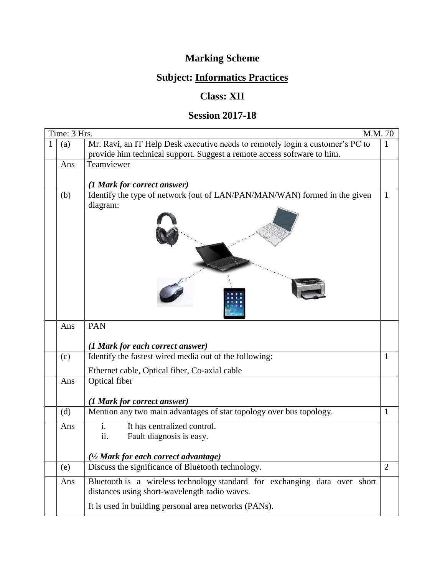## **Marking Scheme**

## **Subject: Informatics Practices**

## **Class: XII**

## **Session 2017-18**

| Time: 3 Hrs. | M.M. 70                                                                                                                                                   |                |
|--------------|-----------------------------------------------------------------------------------------------------------------------------------------------------------|----------------|
| (a)          | Mr. Ravi, an IT Help Desk executive needs to remotely login a customer's PC to<br>provide him technical support. Suggest a remote access software to him. | 1              |
| Ans          | Teamviewer                                                                                                                                                |                |
|              |                                                                                                                                                           |                |
|              | (1 Mark for correct answer)                                                                                                                               |                |
| (b)          | Identify the type of network (out of LAN/PAN/MAN/WAN) formed in the given<br>diagram:                                                                     | $\mathbf{1}$   |
|              |                                                                                                                                                           |                |
| Ans          | <b>PAN</b>                                                                                                                                                |                |
|              | (1 Mark for each correct answer)                                                                                                                          |                |
| (c)          | Identify the fastest wired media out of the following:                                                                                                    | 1              |
|              | Ethernet cable, Optical fiber, Co-axial cable                                                                                                             |                |
| Ans          | Optical fiber                                                                                                                                             |                |
|              |                                                                                                                                                           |                |
|              | (1 Mark for correct answer)                                                                                                                               |                |
| (d)          | Mention any two main advantages of star topology over bus topology.                                                                                       | $\mathbf 1$    |
| Ans          | It has centralized control.<br>i.                                                                                                                         |                |
|              | ii.<br>Fault diagnosis is easy.                                                                                                                           |                |
|              |                                                                                                                                                           |                |
|              | (1/2 Mark for each correct advantage)                                                                                                                     |                |
| (e)          | Discuss the significance of Bluetooth technology.                                                                                                         | $\overline{2}$ |
| Ans          | Bluetooth is a wireless technology standard for exchanging data over short                                                                                |                |
|              | distances using short-wavelength radio waves.                                                                                                             |                |
|              | It is used in building personal area networks (PANs).                                                                                                     |                |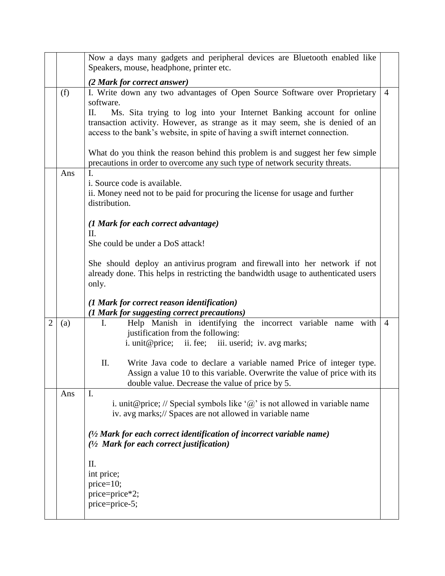|                |     | Now a days many gadgets and peripheral devices are Bluetooth enabled like<br>Speakers, mouse, headphone, printer etc.                                                                                                                                                                                                                                                                                                    |                |  |  |  |  |  |  |
|----------------|-----|--------------------------------------------------------------------------------------------------------------------------------------------------------------------------------------------------------------------------------------------------------------------------------------------------------------------------------------------------------------------------------------------------------------------------|----------------|--|--|--|--|--|--|
|                |     | (2 Mark for correct answer)                                                                                                                                                                                                                                                                                                                                                                                              |                |  |  |  |  |  |  |
|                | (f) | I. Write down any two advantages of Open Source Software over Proprietary<br>software.<br>П.<br>Ms. Sita trying to log into your Internet Banking account for online<br>transaction activity. However, as strange as it may seem, she is denied of an<br>access to the bank's website, in spite of having a swift internet connection.<br>What do you think the reason behind this problem is and suggest her few simple | $\overline{4}$ |  |  |  |  |  |  |
|                |     | precautions in order to overcome any such type of network security threats.<br>$\mathbf{I}$ .                                                                                                                                                                                                                                                                                                                            |                |  |  |  |  |  |  |
|                | Ans | i. Source code is available.<br>ii. Money need not to be paid for procuring the license for usage and further<br>distribution.                                                                                                                                                                                                                                                                                           |                |  |  |  |  |  |  |
|                |     | (1 Mark for each correct advantage)                                                                                                                                                                                                                                                                                                                                                                                      |                |  |  |  |  |  |  |
|                |     | Π.                                                                                                                                                                                                                                                                                                                                                                                                                       |                |  |  |  |  |  |  |
|                |     | She could be under a DoS attack!                                                                                                                                                                                                                                                                                                                                                                                         |                |  |  |  |  |  |  |
|                |     | She should deploy an antivirus program and firewall into her network if not<br>already done. This helps in restricting the bandwidth usage to authenticated users<br>only.                                                                                                                                                                                                                                               |                |  |  |  |  |  |  |
|                |     | (1 Mark for correct reason identification)<br>(1 Mark for suggesting correct precautions)                                                                                                                                                                                                                                                                                                                                |                |  |  |  |  |  |  |
| $\overline{2}$ | (a) | Help Manish in identifying the incorrect variable name with<br>Ι.<br>justification from the following:<br>i. unit@price; ii. fee; iii. userid; iv. avg marks;                                                                                                                                                                                                                                                            | $\overline{4}$ |  |  |  |  |  |  |
|                |     | Π.<br>Write Java code to declare a variable named Price of integer type.<br>Assign a value 10 to this variable. Overwrite the value of price with its<br>double value. Decrease the value of price by 5.                                                                                                                                                                                                                 |                |  |  |  |  |  |  |
|                | Ans | I.<br>i. unit@price; // Special symbols like ' $\omega$ ' is not allowed in variable name<br>iv. avg marks;// Spaces are not allowed in variable name                                                                                                                                                                                                                                                                    |                |  |  |  |  |  |  |
|                |     | $(1/2)$ Mark for each correct identification of incorrect variable name)<br>(1/2 Mark for each correct justification)                                                                                                                                                                                                                                                                                                    |                |  |  |  |  |  |  |
|                |     | II.<br>int price;<br>$price=10;$<br>price=price*2;<br>price=price-5;                                                                                                                                                                                                                                                                                                                                                     |                |  |  |  |  |  |  |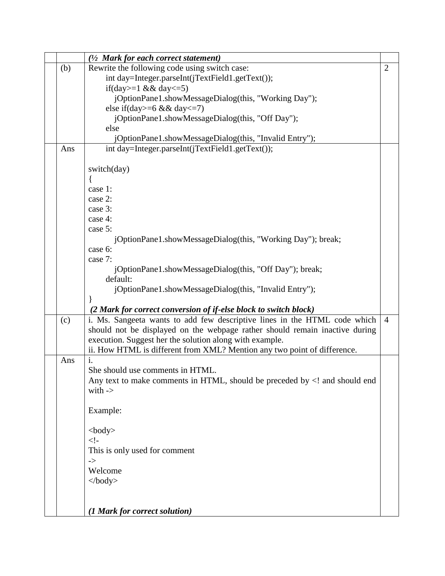|     | $(1/2)$ Mark for each correct statement)                                              |                |
|-----|---------------------------------------------------------------------------------------|----------------|
| (b) | Rewrite the following code using switch case:                                         | $\overline{2}$ |
|     | int day=Integer.parseInt(jTextField1.getText());                                      |                |
|     | if(day>=1 && day<=5)                                                                  |                |
|     | jOptionPane1.showMessageDialog(this, "Working Day");                                  |                |
|     | else if(day>=6 && day<=7)                                                             |                |
|     | jOptionPane1.showMessageDialog(this, "Off Day");                                      |                |
|     | else                                                                                  |                |
|     | jOptionPane1.showMessageDialog(this, "Invalid Entry");                                |                |
| Ans | int day=Integer.parseInt(jTextField1.getText());                                      |                |
|     |                                                                                       |                |
|     | switch(day)                                                                           |                |
|     | case 1:                                                                               |                |
|     | case 2:                                                                               |                |
|     | case 3:                                                                               |                |
|     | case 4:                                                                               |                |
|     | case 5:                                                                               |                |
|     | jOptionPane1.showMessageDialog(this, "Working Day"); break;                           |                |
|     | case 6:                                                                               |                |
|     | case 7:                                                                               |                |
|     | jOptionPane1.showMessageDialog(this, "Off Day"); break;                               |                |
|     | default:                                                                              |                |
|     | jOptionPane1.showMessageDialog(this, "Invalid Entry");                                |                |
|     |                                                                                       |                |
|     | (2 Mark for correct conversion of if-else block to switch block)                      |                |
| (c) | i. Ms. Sangeeta wants to add few descriptive lines in the HTML code which             | $\overline{4}$ |
|     | should not be displayed on the webpage rather should remain inactive during           |                |
|     | execution. Suggest her the solution along with example.                               |                |
|     | ii. How HTML is different from XML? Mention any two point of difference.              |                |
| Ans | $\mathbf{i}$ .                                                                        |                |
|     | She should use comments in HTML.                                                      |                |
|     | Any text to make comments in HTML, should be preceded by and should end</th <th></th> |                |
|     | with $\rightarrow$                                                                    |                |
|     | Example:                                                                              |                |
|     |                                                                                       |                |
|     | $<$ body $>$                                                                          |                |
|     | $\lt!!$ -                                                                             |                |
|     | This is only used for comment                                                         |                |
|     | $\mathord{\text{--}}$                                                                 |                |
|     | Welcome                                                                               |                |
|     | $\langle \text{body} \rangle$                                                         |                |
|     |                                                                                       |                |
|     |                                                                                       |                |
|     | (1 Mark for correct solution)                                                         |                |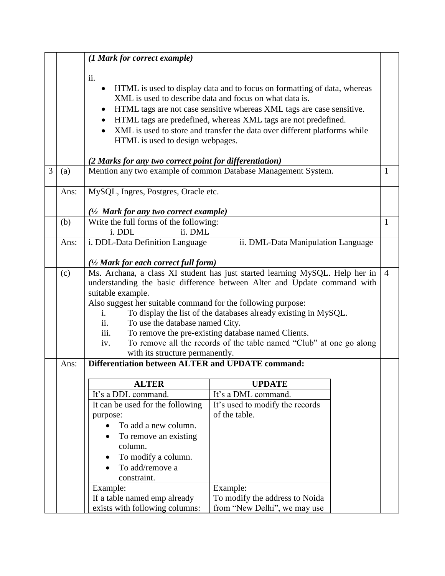| ii.<br>$\bullet$<br>$\bullet$<br>$\bullet$<br>(a)<br>Ans:<br>(b)<br>Ans: | HTML is used to design webpages.<br>(2 Marks for any two correct point for differentiation)                                                                                                                                                                                                                                                                                                                                                                                                                                        | HTML is used to display data and to focus on formatting of data, whereas<br>XML is used to describe data and focus on what data is.<br>HTML tags are not case sensitive whereas XML tags are case sensitive.<br>HTML tags are predefined, whereas XML tags are not predefined.<br>XML is used to store and transfer the data over different platforms while<br>Mention any two example of common Database Management System. |                                                                                      | $\mathbf{1}$                 |  |  |  |  |
|--------------------------------------------------------------------------|------------------------------------------------------------------------------------------------------------------------------------------------------------------------------------------------------------------------------------------------------------------------------------------------------------------------------------------------------------------------------------------------------------------------------------------------------------------------------------------------------------------------------------|------------------------------------------------------------------------------------------------------------------------------------------------------------------------------------------------------------------------------------------------------------------------------------------------------------------------------------------------------------------------------------------------------------------------------|--------------------------------------------------------------------------------------|------------------------------|--|--|--|--|
|                                                                          |                                                                                                                                                                                                                                                                                                                                                                                                                                                                                                                                    |                                                                                                                                                                                                                                                                                                                                                                                                                              |                                                                                      |                              |  |  |  |  |
|                                                                          |                                                                                                                                                                                                                                                                                                                                                                                                                                                                                                                                    |                                                                                                                                                                                                                                                                                                                                                                                                                              |                                                                                      |                              |  |  |  |  |
|                                                                          |                                                                                                                                                                                                                                                                                                                                                                                                                                                                                                                                    |                                                                                                                                                                                                                                                                                                                                                                                                                              | MySQL, Ingres, Postgres, Oracle etc.<br>$(1/2$ Mark for any two correct example)     |                              |  |  |  |  |
|                                                                          | Write the full forms of the following:<br>ii. DML<br>i. DDL                                                                                                                                                                                                                                                                                                                                                                                                                                                                        |                                                                                                                                                                                                                                                                                                                                                                                                                              |                                                                                      |                              |  |  |  |  |
|                                                                          | i. DDL-Data Definition Language<br>ii. DML-Data Manipulation Language                                                                                                                                                                                                                                                                                                                                                                                                                                                              |                                                                                                                                                                                                                                                                                                                                                                                                                              |                                                                                      |                              |  |  |  |  |
| (c)<br>$\mathbf{i}$ .<br>ii.<br>iii.<br>iv.                              | $\frac{1}{2}$ Mark for each correct full form)<br>Ms. Archana, a class XI student has just started learning MySQL. Help her in<br>understanding the basic difference between Alter and Update command with<br>suitable example.<br>Also suggest her suitable command for the following purpose:<br>To display the list of the databases already existing in MySQL.<br>To use the database named City.<br>To remove the pre-existing database named Clients.<br>To remove all the records of the table named "Club" at one go along |                                                                                                                                                                                                                                                                                                                                                                                                                              |                                                                                      |                              |  |  |  |  |
| Ans:                                                                     |                                                                                                                                                                                                                                                                                                                                                                                                                                                                                                                                    |                                                                                                                                                                                                                                                                                                                                                                                                                              |                                                                                      |                              |  |  |  |  |
|                                                                          | <b>ALTER</b>                                                                                                                                                                                                                                                                                                                                                                                                                                                                                                                       | <b>UPDATE</b><br>It's a DML command.<br>It's used to modify the records<br>of the table.<br>Example:<br>To modify the address to Noida                                                                                                                                                                                                                                                                                       |                                                                                      |                              |  |  |  |  |
|                                                                          |                                                                                                                                                                                                                                                                                                                                                                                                                                                                                                                                    | It's a DDL command.<br>It can be used for the following<br>purpose:<br>To add a new column.<br>To remove an existing<br>column.<br>To modify a column.<br>To add/remove a<br>constraint.<br>Example:<br>If a table named emp already<br>exists with following columns:                                                                                                                                                       | with its structure permanently.<br>Differentiation between ALTER and UPDATE command: | from "New Delhi", we may use |  |  |  |  |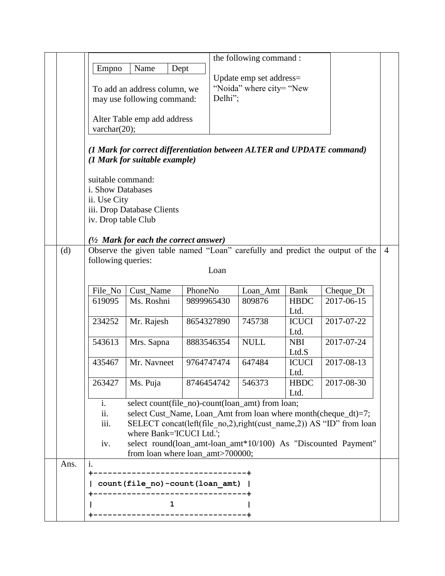|      |                                                                                                    |                                           |                                                                       | the following command: |                       |                                                                              |                |  |
|------|----------------------------------------------------------------------------------------------------|-------------------------------------------|-----------------------------------------------------------------------|------------------------|-----------------------|------------------------------------------------------------------------------|----------------|--|
|      | Empno                                                                                              | Name                                      | Dept                                                                  |                        |                       |                                                                              |                |  |
|      | Update emp set address=                                                                            |                                           |                                                                       |                        |                       |                                                                              |                |  |
|      | "Noida" where city= "New"<br>To add an address column, we<br>Delhi";<br>may use following command: |                                           |                                                                       |                        |                       |                                                                              |                |  |
|      |                                                                                                    |                                           |                                                                       |                        |                       |                                                                              |                |  |
|      |                                                                                                    |                                           |                                                                       |                        |                       |                                                                              |                |  |
|      |                                                                                                    | Alter Table emp add address               |                                                                       |                        |                       |                                                                              |                |  |
|      | varchar $(20)$ ;                                                                                   |                                           |                                                                       |                        |                       |                                                                              |                |  |
|      |                                                                                                    |                                           | (1 Mark for correct differentiation between ALTER and UPDATE command) |                        |                       |                                                                              |                |  |
|      |                                                                                                    | (1 Mark for suitable example)             |                                                                       |                        |                       |                                                                              |                |  |
|      |                                                                                                    |                                           |                                                                       |                        |                       |                                                                              |                |  |
|      | suitable command:                                                                                  |                                           |                                                                       |                        |                       |                                                                              |                |  |
|      | i. Show Databases                                                                                  |                                           |                                                                       |                        |                       |                                                                              |                |  |
|      | ii. Use City                                                                                       |                                           |                                                                       |                        |                       |                                                                              |                |  |
|      |                                                                                                    | iii. Drop Database Clients                |                                                                       |                        |                       |                                                                              |                |  |
|      | iv. Drop table Club                                                                                |                                           |                                                                       |                        |                       |                                                                              |                |  |
|      |                                                                                                    |                                           |                                                                       |                        |                       |                                                                              |                |  |
| (d)  |                                                                                                    | $(1/2)$ Mark for each the correct answer) |                                                                       |                        |                       | Observe the given table named "Loan" carefully and predict the output of the | $\overline{4}$ |  |
|      | following queries:                                                                                 |                                           |                                                                       |                        |                       |                                                                              |                |  |
|      |                                                                                                    |                                           | Loan                                                                  |                        |                       |                                                                              |                |  |
|      |                                                                                                    |                                           |                                                                       |                        |                       |                                                                              |                |  |
|      | File_No                                                                                            | Cust_Name                                 | PhoneNo                                                               | Loan_Amt               | <b>Bank</b>           | Cheque_Dt                                                                    |                |  |
|      | 619095                                                                                             | Ms. Roshni                                | 9899965430                                                            | 809876                 | <b>HBDC</b>           | 2017-06-15                                                                   |                |  |
|      |                                                                                                    |                                           |                                                                       |                        | Ltd.                  |                                                                              |                |  |
|      | 234252                                                                                             | Mr. Rajesh                                | 8654327890                                                            | 745738                 | <b>ICUCI</b>          | 2017-07-22                                                                   |                |  |
|      |                                                                                                    |                                           |                                                                       |                        | Ltd.                  |                                                                              |                |  |
|      | 543613                                                                                             | Mrs. Sapna                                | 8883546354                                                            | <b>NULL</b>            | <b>NBI</b>            | 2017-07-24                                                                   |                |  |
|      | 435467                                                                                             | Mr. Navneet                               | 9764747474                                                            | 647484                 | Ltd.S<br><b>ICUCI</b> | 2017-08-13                                                                   |                |  |
|      |                                                                                                    |                                           |                                                                       |                        | Ltd.                  |                                                                              |                |  |
|      | 263427                                                                                             | Ms. Puja                                  | 8746454742                                                            | 546373                 | <b>HBDC</b>           | 2017-08-30                                                                   |                |  |
|      |                                                                                                    |                                           |                                                                       |                        | Ltd.                  |                                                                              |                |  |
|      | i.                                                                                                 |                                           | select count(file_no)-count(loan_amt) from loan;                      |                        |                       |                                                                              |                |  |
|      | ii.                                                                                                |                                           | select Cust_Name, Loan_Amt from loan where month(cheque_dt)=7;        |                        |                       |                                                                              |                |  |
|      | iii.                                                                                               |                                           |                                                                       |                        |                       | SELECT concat(left(file no,2),right(cust name,2)) AS "ID" from loan          |                |  |
|      |                                                                                                    | where Bank='ICUCI Ltd.';                  |                                                                       |                        |                       |                                                                              |                |  |
|      | iv.                                                                                                |                                           |                                                                       |                        |                       | select round(loan_amt-loan_amt*10/100) As "Discounted Payment"               |                |  |
|      |                                                                                                    |                                           | from loan where loan_amt>700000;                                      |                        |                       |                                                                              |                |  |
| Ans. | i.                                                                                                 |                                           | -------------------------+                                            |                        |                       |                                                                              |                |  |
|      |                                                                                                    |                                           |                                                                       |                        |                       |                                                                              |                |  |
|      |                                                                                                    |                                           | count(file no)-count(loan amt)                                        |                        |                       |                                                                              |                |  |
|      |                                                                                                    | $\mathbf{1}$                              |                                                                       |                        |                       |                                                                              |                |  |
|      |                                                                                                    |                                           | ------------------------------                                        |                        |                       |                                                                              |                |  |
|      |                                                                                                    |                                           |                                                                       |                        |                       |                                                                              |                |  |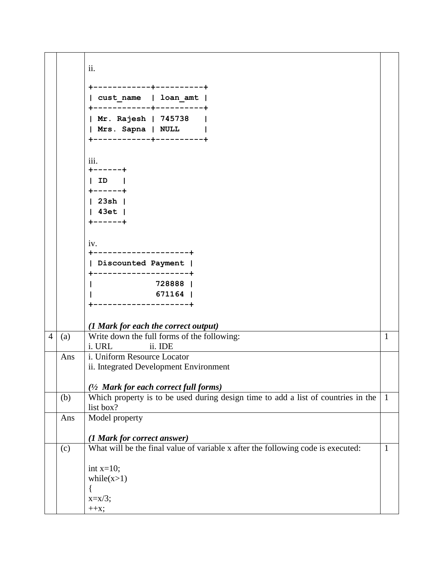|                |     | ii.                                                                                            |              |
|----------------|-----|------------------------------------------------------------------------------------------------|--------------|
|                |     |                                                                                                |              |
|                |     | -----------+----------+<br>  cust name   loan amt                                              |              |
|                |     | Mr. Rajesh   745738                                                                            |              |
|                |     | Mrs. Sapna   NULL                                                                              |              |
|                |     | ------------+----------+                                                                       |              |
|                |     |                                                                                                |              |
|                |     | 111.                                                                                           |              |
|                |     | $+ - - - - - +$<br>  ID                                                                        |              |
|                |     | $+ - - - - - +$                                                                                |              |
|                |     | $ $ 23sh $ $                                                                                   |              |
|                |     | $ $ 43et $ $                                                                                   |              |
|                |     | +------+                                                                                       |              |
|                |     |                                                                                                |              |
|                |     | 1V.<br>+--------------------+                                                                  |              |
|                |     | Discounted Payment                                                                             |              |
|                |     | ---------------+                                                                               |              |
|                |     | 728888                                                                                         |              |
|                |     | 671164                                                                                         |              |
|                |     | ----------------+                                                                              |              |
|                |     |                                                                                                |              |
|                |     | (1 Mark for each the correct output)                                                           |              |
| $\overline{4}$ | (a) | Write down the full forms of the following:<br>ii. IDE<br>i. URL                               | $\mathbf{1}$ |
|                | Ans | i. Uniform Resource Locator                                                                    |              |
|                |     | ii. Integrated Development Environment                                                         |              |
|                |     |                                                                                                |              |
|                |     | $(1/2)$ Mark for each correct full forms)                                                      |              |
|                | (b) | Which property is to be used during design time to add a list of countries in the<br>list box? | $\vert$ 1    |
|                | Ans | Model property                                                                                 |              |
|                |     |                                                                                                |              |
|                |     | (1 Mark for correct answer)                                                                    |              |
|                | (c) | What will be the final value of variable x after the following code is executed:               | $\mathbf{1}$ |
|                |     |                                                                                                |              |
|                |     | int $x=10$ ;<br>while $(x>1)$                                                                  |              |
|                |     |                                                                                                |              |
|                |     | $x=x/3$ ;                                                                                      |              |
|                |     | $++x;$                                                                                         |              |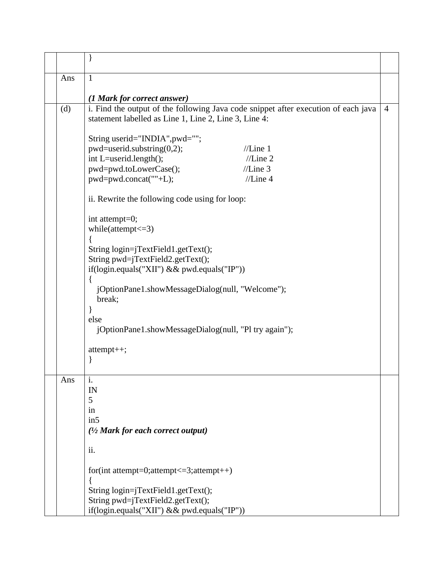| Ans | $\mathbf{1}$                                                                       |  |  |  |  |  |  |
|-----|------------------------------------------------------------------------------------|--|--|--|--|--|--|
|     | (1 Mark for correct answer)                                                        |  |  |  |  |  |  |
| (d) | i. Find the output of the following Java code snippet after execution of each java |  |  |  |  |  |  |
|     | statement labelled as Line 1, Line 2, Line 3, Line 4:                              |  |  |  |  |  |  |
|     | String userid="INDIA", pwd="";                                                     |  |  |  |  |  |  |
|     | pwd=userid.substring(0,2);<br>//Line 1                                             |  |  |  |  |  |  |
|     | //Line 2<br>int L=userid.length();                                                 |  |  |  |  |  |  |
|     | pwd=pwd.toLowerCase();<br>//Line 3                                                 |  |  |  |  |  |  |
|     | pwd=pwd.concat(""+L);<br>//Line 4                                                  |  |  |  |  |  |  |
|     | ii. Rewrite the following code using for loop:                                     |  |  |  |  |  |  |
|     | int attempt=0;                                                                     |  |  |  |  |  |  |
|     | while(attempt $\leq$ =3)                                                           |  |  |  |  |  |  |
|     | String login=jTextField1.getText();                                                |  |  |  |  |  |  |
|     | String pwd=jTextField2.getText();                                                  |  |  |  |  |  |  |
|     | if(login.equals("XII") & & pwd.equals("IP"))                                       |  |  |  |  |  |  |
|     |                                                                                    |  |  |  |  |  |  |
|     | jOptionPane1.showMessageDialog(null, "Welcome");<br>break;                         |  |  |  |  |  |  |
|     |                                                                                    |  |  |  |  |  |  |
|     | else                                                                               |  |  |  |  |  |  |
|     | jOptionPane1.showMessageDialog(null, "Pl try again");                              |  |  |  |  |  |  |
|     | attempt++;                                                                         |  |  |  |  |  |  |
|     |                                                                                    |  |  |  |  |  |  |
| Ans | i.                                                                                 |  |  |  |  |  |  |
|     | IN                                                                                 |  |  |  |  |  |  |
|     | 5                                                                                  |  |  |  |  |  |  |
|     | in                                                                                 |  |  |  |  |  |  |
|     | in5                                                                                |  |  |  |  |  |  |
|     | $\frac{1}{2}$ Mark for each correct output)                                        |  |  |  |  |  |  |
|     | ii.                                                                                |  |  |  |  |  |  |
|     | for(int attempt=0;attempt<=3;attempt++)                                            |  |  |  |  |  |  |
|     | String login=jTextField1.getText();                                                |  |  |  |  |  |  |
|     | String pwd=jTextField2.getText();                                                  |  |  |  |  |  |  |
|     | if(login.equals("XII") && pwd.equals("IP"))                                        |  |  |  |  |  |  |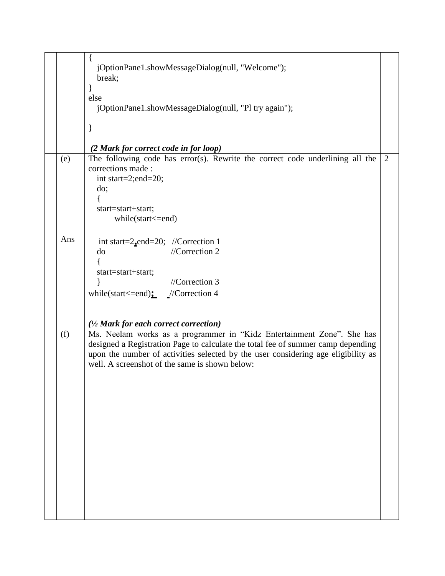|     | jOptionPane1.showMessageDialog(null, "Welcome");<br>break;<br>else<br>jOptionPane1.showMessageDialog(null, "Pl try again");<br>}<br>(2 Mark for correct code in for loop)                                                                                                                         |   |
|-----|---------------------------------------------------------------------------------------------------------------------------------------------------------------------------------------------------------------------------------------------------------------------------------------------------|---|
| (e) | The following code has error(s). Rewrite the correct code underlining all the<br>corrections made:<br>int start=2;end=20;<br>do;<br>start=start+start;<br>$while (start < = end)$                                                                                                                 | 2 |
| Ans | int start= $2$ -end= $20$ ; //Correction 1<br>//Correction $2$<br>do<br>start=start+start;<br>//Correction 3<br>while(start <= end) $\frac{\cdot}{\cdot}$ //Correction 4<br>$\frac{1}{2}$ Mark for each correct correction)                                                                       |   |
| (f) | Ms. Neelam works as a programmer in "Kidz Entertainment Zone". She has<br>designed a Registration Page to calculate the total fee of summer camp depending<br>upon the number of activities selected by the user considering age eligibility as<br>well. A screenshot of the same is shown below: |   |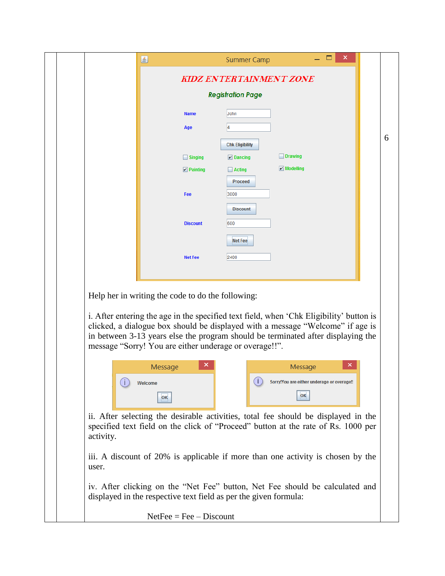|  |           | 區                                                                | <b>Summer Camp</b>             | ▭<br>×                                                                                                                                                                                                                                                        |   |
|--|-----------|------------------------------------------------------------------|--------------------------------|---------------------------------------------------------------------------------------------------------------------------------------------------------------------------------------------------------------------------------------------------------------|---|
|  |           |                                                                  | <b>KIDZ ENTERTAINMENT ZONE</b> |                                                                                                                                                                                                                                                               |   |
|  |           |                                                                  | <b>Registration Page</b>       |                                                                                                                                                                                                                                                               |   |
|  |           | <b>Name</b>                                                      | John                           |                                                                                                                                                                                                                                                               |   |
|  |           | Age                                                              |                                |                                                                                                                                                                                                                                                               |   |
|  |           |                                                                  | <b>Chk Eligibility</b>         |                                                                                                                                                                                                                                                               | 6 |
|  |           | $\Box$ Singing                                                   | $\nu$ Dancing                  | $\Box$ Drawing                                                                                                                                                                                                                                                |   |
|  |           | $\nu$ Painting                                                   | $\Box$ Acting                  | $\mathcal V$ Modelling                                                                                                                                                                                                                                        |   |
|  |           |                                                                  | <b>Proceed</b>                 |                                                                                                                                                                                                                                                               |   |
|  |           | Fee                                                              | 3000<br><b>Discount</b>        |                                                                                                                                                                                                                                                               |   |
|  |           | <b>Discount</b>                                                  | 600                            |                                                                                                                                                                                                                                                               |   |
|  |           |                                                                  |                                |                                                                                                                                                                                                                                                               |   |
|  |           |                                                                  | <b>Net Fee</b>                 |                                                                                                                                                                                                                                                               |   |
|  |           | <b>Net Fee</b>                                                   | 2400                           |                                                                                                                                                                                                                                                               |   |
|  |           |                                                                  |                                |                                                                                                                                                                                                                                                               |   |
|  |           | Help her in writing the code to do the following:                |                                |                                                                                                                                                                                                                                                               |   |
|  |           | message "Sorry! You are either underage or overage!!".           |                                | i. After entering the age in the specified text field, when 'Chk Eligibility' button is<br>clicked, a dialogue box should be displayed with a message "Welcome" if age is<br>in between 3-13 years else the program should be terminated after displaying the |   |
|  |           | Message                                                          |                                | ×<br>Message                                                                                                                                                                                                                                                  |   |
|  |           | Welcome                                                          |                                | Sorry!You are either underage or overage!!                                                                                                                                                                                                                    |   |
|  |           | OK                                                               |                                | OK                                                                                                                                                                                                                                                            |   |
|  | activity. |                                                                  |                                | ii. After selecting the desirable activities, total fee should be displayed in the<br>specified text field on the click of "Proceed" button at the rate of Rs. 1000 per                                                                                       |   |
|  | user.     |                                                                  |                                | iii. A discount of 20% is applicable if more than one activity is chosen by the                                                                                                                                                                               |   |
|  |           | displayed in the respective text field as per the given formula: |                                | iv. After clicking on the "Net Fee" button, Net Fee should be calculated and                                                                                                                                                                                  |   |
|  |           | $NetFee = Fee - Discount$                                        |                                |                                                                                                                                                                                                                                                               |   |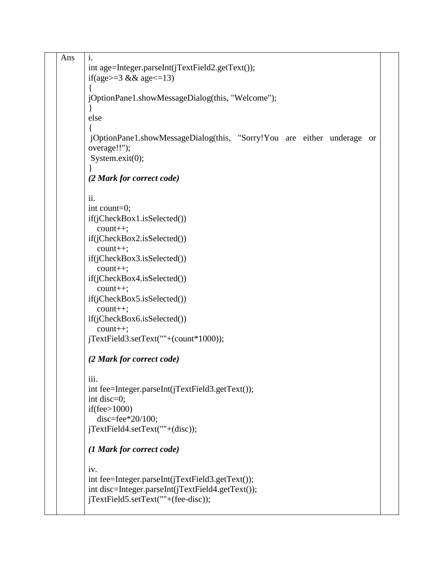| Ans | $\mathbf{i}$ .                                                         |  |  |  |  |  |  |  |  |
|-----|------------------------------------------------------------------------|--|--|--|--|--|--|--|--|
|     | int age=Integer.parseInt(jTextField2.getText());                       |  |  |  |  |  |  |  |  |
|     | if(age>=3 && age<=13)                                                  |  |  |  |  |  |  |  |  |
|     |                                                                        |  |  |  |  |  |  |  |  |
|     | jOptionPane1.showMessageDialog(this, "Welcome");                       |  |  |  |  |  |  |  |  |
|     |                                                                        |  |  |  |  |  |  |  |  |
|     | else                                                                   |  |  |  |  |  |  |  |  |
|     |                                                                        |  |  |  |  |  |  |  |  |
|     | jOptionPane1.showMessageDialog(this, "Sorry!You are either underage or |  |  |  |  |  |  |  |  |
|     | overage!!");                                                           |  |  |  |  |  |  |  |  |
|     | System.exit(0);                                                        |  |  |  |  |  |  |  |  |
|     |                                                                        |  |  |  |  |  |  |  |  |
|     | (2 Mark for correct code)                                              |  |  |  |  |  |  |  |  |
|     | ii.                                                                    |  |  |  |  |  |  |  |  |
|     | int count=0;                                                           |  |  |  |  |  |  |  |  |
|     | if(jCheckBox1.isSelected())                                            |  |  |  |  |  |  |  |  |
|     | $count++;$                                                             |  |  |  |  |  |  |  |  |
|     | if(jCheckBox2.isSelected())                                            |  |  |  |  |  |  |  |  |
|     | $count++;$                                                             |  |  |  |  |  |  |  |  |
|     | if(jCheckBox3.isSelected())                                            |  |  |  |  |  |  |  |  |
|     | $count++;$                                                             |  |  |  |  |  |  |  |  |
|     | if(jCheckBox4.isSelected())                                            |  |  |  |  |  |  |  |  |
|     | $count++;$                                                             |  |  |  |  |  |  |  |  |
|     | if(jCheckBox5.isSelected())                                            |  |  |  |  |  |  |  |  |
|     | $count++;$                                                             |  |  |  |  |  |  |  |  |
|     | if(jCheckBox6.isSelected())                                            |  |  |  |  |  |  |  |  |
|     | $count++;$                                                             |  |  |  |  |  |  |  |  |
|     | jTextField3.setText(""+(count*1000));                                  |  |  |  |  |  |  |  |  |
|     | (2 Mark for correct code)                                              |  |  |  |  |  |  |  |  |
|     | $\cdots$<br>111.                                                       |  |  |  |  |  |  |  |  |
|     | int fee=Integer.parseInt(jTextField3.getText());                       |  |  |  |  |  |  |  |  |
|     | int disc=0;                                                            |  |  |  |  |  |  |  |  |
|     | if(fee $>1000$ )                                                       |  |  |  |  |  |  |  |  |
|     | disc=fee $*20/100$ ;                                                   |  |  |  |  |  |  |  |  |
|     | jTextField4.setText(""+(disc));                                        |  |  |  |  |  |  |  |  |
|     | (1 Mark for correct code)                                              |  |  |  |  |  |  |  |  |
|     | iv.                                                                    |  |  |  |  |  |  |  |  |
|     | int fee=Integer.parseInt(jTextField3.getText());                       |  |  |  |  |  |  |  |  |
|     | int disc=Integer.parseInt(jTextField4.getText());                      |  |  |  |  |  |  |  |  |
|     | jTextField5.setText(""+(fee-disc));                                    |  |  |  |  |  |  |  |  |
|     |                                                                        |  |  |  |  |  |  |  |  |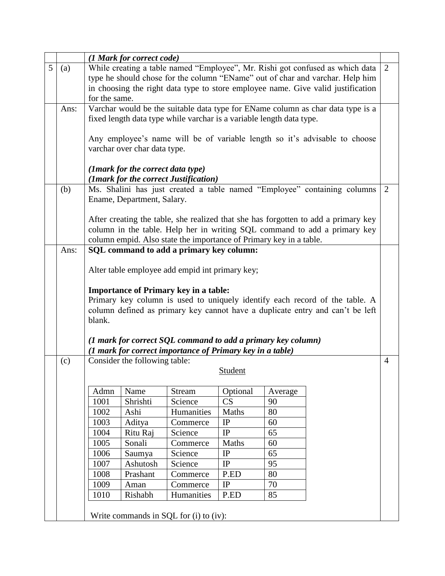|   |      | (1 Mark for correct code)                                                                                                                                                                                                             |                                                                                                                                     |                                                                      |                |         |                                                                                  |                |  |
|---|------|---------------------------------------------------------------------------------------------------------------------------------------------------------------------------------------------------------------------------------------|-------------------------------------------------------------------------------------------------------------------------------------|----------------------------------------------------------------------|----------------|---------|----------------------------------------------------------------------------------|----------------|--|
| 5 | (a)  |                                                                                                                                                                                                                                       |                                                                                                                                     |                                                                      |                |         | While creating a table named "Employee", Mr. Rishi got confused as which data    | 2              |  |
|   |      |                                                                                                                                                                                                                                       |                                                                                                                                     |                                                                      |                |         | type he should chose for the column "EName" out of char and varchar. Help him    |                |  |
|   |      |                                                                                                                                                                                                                                       |                                                                                                                                     |                                                                      |                |         | in choosing the right data type to store employee name. Give valid justification |                |  |
|   |      | for the same.                                                                                                                                                                                                                         |                                                                                                                                     |                                                                      |                |         |                                                                                  |                |  |
|   | Ans: |                                                                                                                                                                                                                                       |                                                                                                                                     |                                                                      |                |         | Varchar would be the suitable data type for EName column as char data type is a  |                |  |
|   |      |                                                                                                                                                                                                                                       |                                                                                                                                     | fixed length data type while varchar is a variable length data type. |                |         |                                                                                  |                |  |
|   |      |                                                                                                                                                                                                                                       | varchar over char data type.                                                                                                        |                                                                      |                |         | Any employee's name will be of variable length so it's advisable to choose       |                |  |
|   |      |                                                                                                                                                                                                                                       | (1mark for the correct data type)                                                                                                   |                                                                      |                |         |                                                                                  |                |  |
|   | (b)  |                                                                                                                                                                                                                                       | (1mark for the correct Justification)<br>Ms. Shalini has just created a table named "Employee" containing columns<br>$\overline{2}$ |                                                                      |                |         |                                                                                  |                |  |
|   |      | Ename, Department, Salary.                                                                                                                                                                                                            |                                                                                                                                     |                                                                      |                |         |                                                                                  |                |  |
|   |      | After creating the table, she realized that she has forgotten to add a primary key<br>column in the table. Help her in writing SQL command to add a primary key<br>column empid. Also state the importance of Primary key in a table. |                                                                                                                                     |                                                                      |                |         |                                                                                  |                |  |
|   | Ans: |                                                                                                                                                                                                                                       |                                                                                                                                     | SQL command to add a primary key column:                             |                |         |                                                                                  |                |  |
|   |      | Alter table employee add empid int primary key;                                                                                                                                                                                       |                                                                                                                                     |                                                                      |                |         |                                                                                  |                |  |
|   |      |                                                                                                                                                                                                                                       |                                                                                                                                     |                                                                      |                |         |                                                                                  |                |  |
|   |      |                                                                                                                                                                                                                                       |                                                                                                                                     | <b>Importance of Primary key in a table:</b>                         |                |         |                                                                                  |                |  |
|   |      |                                                                                                                                                                                                                                       |                                                                                                                                     |                                                                      |                |         | Primary key column is used to uniquely identify each record of the table. A      |                |  |
|   |      |                                                                                                                                                                                                                                       |                                                                                                                                     |                                                                      |                |         | column defined as primary key cannot have a duplicate entry and can't be left    |                |  |
|   |      | blank.                                                                                                                                                                                                                                |                                                                                                                                     |                                                                      |                |         |                                                                                  |                |  |
|   |      |                                                                                                                                                                                                                                       |                                                                                                                                     |                                                                      |                |         |                                                                                  |                |  |
|   |      |                                                                                                                                                                                                                                       |                                                                                                                                     |                                                                      |                |         |                                                                                  |                |  |
|   |      | (1 mark for correct SQL command to add a primary key column)<br>(1 mark for correct importance of Primary key in a table)                                                                                                             |                                                                                                                                     |                                                                      |                |         |                                                                                  |                |  |
|   | (c)  |                                                                                                                                                                                                                                       | Consider the following table:                                                                                                       |                                                                      |                |         |                                                                                  | $\overline{4}$ |  |
|   |      |                                                                                                                                                                                                                                       |                                                                                                                                     |                                                                      | <b>Student</b> |         |                                                                                  |                |  |
|   |      | Admn                                                                                                                                                                                                                                  | Name                                                                                                                                | Stream                                                               | Optional       | Average |                                                                                  |                |  |
|   |      | 1001                                                                                                                                                                                                                                  | Shrishti                                                                                                                            | Science                                                              | CS             | 90      |                                                                                  |                |  |
|   |      | 1002                                                                                                                                                                                                                                  | Ashi                                                                                                                                | Humanities                                                           | Maths          | 80      |                                                                                  |                |  |
|   |      | 1003                                                                                                                                                                                                                                  | Aditya                                                                                                                              | Commerce                                                             | IP             | 60      |                                                                                  |                |  |
|   |      | 1004                                                                                                                                                                                                                                  | Ritu Raj                                                                                                                            | Science                                                              | IP             | 65      |                                                                                  |                |  |
|   |      | 1005                                                                                                                                                                                                                                  | Sonali                                                                                                                              | Commerce                                                             | Maths          | 60      |                                                                                  |                |  |
|   |      | 1006<br>65<br>IP<br>Science<br>Saumya                                                                                                                                                                                                 |                                                                                                                                     |                                                                      |                |         |                                                                                  |                |  |
|   |      | 1007                                                                                                                                                                                                                                  | Ashutosh                                                                                                                            | Science                                                              | IP             | 95      |                                                                                  |                |  |
|   |      | 1008                                                                                                                                                                                                                                  | Prashant                                                                                                                            | Commerce                                                             | P.ED           | 80      |                                                                                  |                |  |
|   |      | 1009                                                                                                                                                                                                                                  | Aman                                                                                                                                | Commerce                                                             | IP             | 70      |                                                                                  |                |  |
|   |      | 1010                                                                                                                                                                                                                                  | Rishabh                                                                                                                             | Humanities                                                           | P.ED           | 85      |                                                                                  |                |  |
|   |      |                                                                                                                                                                                                                                       |                                                                                                                                     | Write commands in SQL for (i) to (iv):                               |                |         |                                                                                  |                |  |
|   |      |                                                                                                                                                                                                                                       |                                                                                                                                     |                                                                      |                |         |                                                                                  |                |  |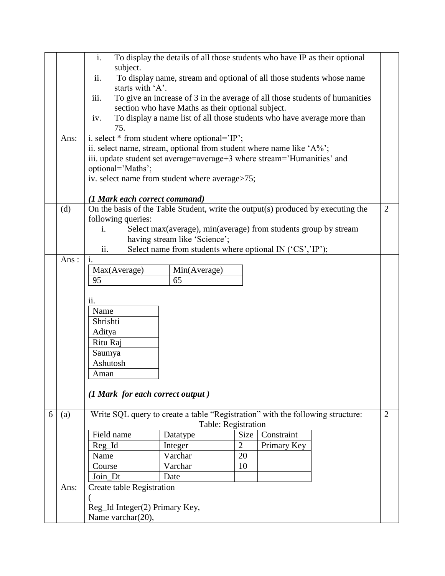|   |      | i.                                                                      | To display the details of all those students who have IP as their optional       |                     |             |  |                |  |  |  |
|---|------|-------------------------------------------------------------------------|----------------------------------------------------------------------------------|---------------------|-------------|--|----------------|--|--|--|
|   |      | subject.                                                                |                                                                                  |                     |             |  |                |  |  |  |
|   |      | ii.<br>starts with 'A'.                                                 | To display name, stream and optional of all those students whose name            |                     |             |  |                |  |  |  |
|   |      | iii.                                                                    | To give an increase of 3 in the average of all those students of humanities      |                     |             |  |                |  |  |  |
|   |      |                                                                         | section who have Maths as their optional subject.                                |                     |             |  |                |  |  |  |
|   |      | iv.                                                                     |                                                                                  |                     |             |  |                |  |  |  |
|   |      | 75.                                                                     | To display a name list of all those students who have average more than          |                     |             |  |                |  |  |  |
|   | Ans: |                                                                         | i. select * from student where optional='IP';                                    |                     |             |  |                |  |  |  |
|   |      |                                                                         | ii. select name, stream, optional from student where name like 'A%';             |                     |             |  |                |  |  |  |
|   |      |                                                                         | iii. update student set average=average+3 where stream='Humanities' and          |                     |             |  |                |  |  |  |
|   |      | optional='Maths';                                                       |                                                                                  |                     |             |  |                |  |  |  |
|   |      |                                                                         | iv. select name from student where average>75;                                   |                     |             |  |                |  |  |  |
|   |      | (1 Mark each correct command)                                           |                                                                                  |                     |             |  |                |  |  |  |
|   | (d)  |                                                                         | On the basis of the Table Student, write the output(s) produced by executing the |                     |             |  | $\overline{2}$ |  |  |  |
|   |      | following queries:                                                      |                                                                                  |                     |             |  |                |  |  |  |
|   |      | Select max (average), min (average) from students group by stream<br>i. |                                                                                  |                     |             |  |                |  |  |  |
|   |      | having stream like 'Science';                                           |                                                                                  |                     |             |  |                |  |  |  |
|   |      | ii.                                                                     | Select name from students where optional IN ('CS','IP');                         |                     |             |  |                |  |  |  |
|   | Ans: |                                                                         | i.                                                                               |                     |             |  |                |  |  |  |
|   |      | Max(Average)                                                            | Min(Average)                                                                     |                     |             |  |                |  |  |  |
|   |      | 95                                                                      | 65                                                                               |                     |             |  |                |  |  |  |
|   |      | ii.                                                                     |                                                                                  |                     |             |  |                |  |  |  |
|   |      | Name                                                                    |                                                                                  |                     |             |  |                |  |  |  |
|   |      | Shrishti                                                                |                                                                                  |                     |             |  |                |  |  |  |
|   |      | Aditya                                                                  |                                                                                  |                     |             |  |                |  |  |  |
|   |      | Ritu Raj                                                                |                                                                                  |                     |             |  |                |  |  |  |
|   |      | Saumya                                                                  |                                                                                  |                     |             |  |                |  |  |  |
|   |      | Ashutosh                                                                |                                                                                  |                     |             |  |                |  |  |  |
|   |      | Aman                                                                    |                                                                                  |                     |             |  |                |  |  |  |
|   |      |                                                                         |                                                                                  |                     |             |  |                |  |  |  |
|   |      | (1 Mark for each correct output)                                        |                                                                                  |                     |             |  |                |  |  |  |
| 6 | (a)  |                                                                         | Write SQL query to create a table "Registration" with the following structure:   |                     |             |  | $\overline{2}$ |  |  |  |
|   |      |                                                                         |                                                                                  | Table: Registration |             |  |                |  |  |  |
|   |      | Field name                                                              | Datatype                                                                         | Size                | Constraint  |  |                |  |  |  |
|   |      | Reg_Id                                                                  | Integer                                                                          | $\overline{2}$      | Primary Key |  |                |  |  |  |
|   |      | Name                                                                    | Varchar                                                                          | 20                  |             |  |                |  |  |  |
|   |      | Course                                                                  | Varchar                                                                          | 10                  |             |  |                |  |  |  |
|   |      | Join_Dt                                                                 | Date                                                                             |                     |             |  |                |  |  |  |
|   | Ans: | Create table Registration                                               |                                                                                  |                     |             |  |                |  |  |  |
|   |      |                                                                         |                                                                                  |                     |             |  |                |  |  |  |
|   |      | Reg_Id Integer(2) Primary Key,                                          |                                                                                  |                     |             |  |                |  |  |  |
|   |      | Name varchar(20),                                                       |                                                                                  |                     |             |  |                |  |  |  |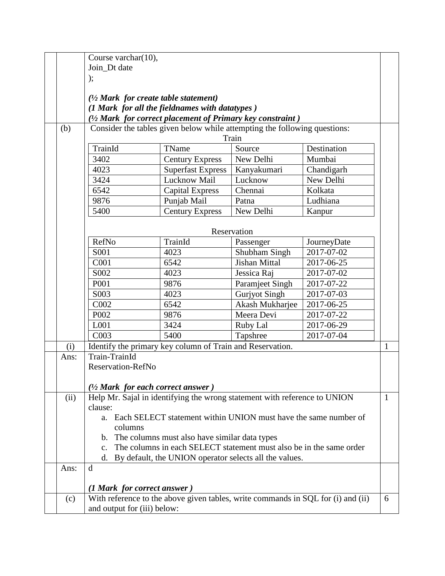|      | Course varchar(10),                                                                                             |                                                                           |                      |             |              |  |
|------|-----------------------------------------------------------------------------------------------------------------|---------------------------------------------------------------------------|----------------------|-------------|--------------|--|
|      | Join Dt date                                                                                                    |                                                                           |                      |             |              |  |
|      | );                                                                                                              |                                                                           |                      |             |              |  |
|      | $\frac{1}{2}$ Mark for create table statement)                                                                  |                                                                           |                      |             |              |  |
|      | (1 Mark for all the fieldnames with datatypes)<br>$(1/2)$ Mark for correct placement of Primary key constraint) |                                                                           |                      |             |              |  |
|      |                                                                                                                 |                                                                           |                      |             |              |  |
| (b)  | Consider the tables given below while attempting the following questions:                                       |                                                                           |                      |             |              |  |
|      | Train                                                                                                           |                                                                           |                      |             |              |  |
|      | TrainId                                                                                                         | TName                                                                     | Source               | Destination |              |  |
|      | 3402                                                                                                            | <b>Century Express</b>                                                    | New Delhi            | Mumbai      |              |  |
|      | 4023                                                                                                            | <b>Superfast Express</b>                                                  | Kanyakumari          | Chandigarh  |              |  |
|      | 3424                                                                                                            | Lucknow Mail                                                              | Lucknow              | New Delhi   |              |  |
|      | 6542                                                                                                            | <b>Capital Express</b>                                                    | Chennai              | Kolkata     |              |  |
|      | 9876                                                                                                            | Punjab Mail                                                               | Patna                | Ludhiana    |              |  |
|      | 5400                                                                                                            | <b>Century Express</b>                                                    | New Delhi            | Kanpur      |              |  |
|      | Reservation                                                                                                     |                                                                           |                      |             |              |  |
|      |                                                                                                                 |                                                                           |                      |             |              |  |
|      | RefNo                                                                                                           | TrainId                                                                   | Passenger            | JourneyDate |              |  |
|      | S <sub>001</sub>                                                                                                | 4023                                                                      | Shubham Singh        | 2017-07-02  |              |  |
|      | C001                                                                                                            | 6542                                                                      | Jishan Mittal        | 2017-06-25  |              |  |
|      | S002                                                                                                            | 4023                                                                      | Jessica Raj          | 2017-07-02  |              |  |
|      | P001                                                                                                            | 9876                                                                      | Paramjeet Singh      | 2017-07-22  |              |  |
|      | S003                                                                                                            | 4023                                                                      | <b>Gurjyot Singh</b> | 2017-07-03  |              |  |
|      | C002                                                                                                            | 6542                                                                      | Akash Mukharjee      | 2017-06-25  |              |  |
|      | P002                                                                                                            | 9876                                                                      | Meera Devi           | 2017-07-22  |              |  |
|      | L001                                                                                                            | 3424                                                                      | Ruby Lal             | 2017-06-29  |              |  |
|      | C003                                                                                                            | 5400                                                                      | Tapshree             | 2017-07-04  | $\mathbf{1}$ |  |
| (i)  | Identify the primary key column of Train and Reservation.                                                       |                                                                           |                      |             |              |  |
| Ans: | Train-TrainId                                                                                                   |                                                                           |                      |             |              |  |
|      | Reservation-RefNo                                                                                               |                                                                           |                      |             |              |  |
|      | $\frac{1}{2}$ Mark for each correct answer )                                                                    |                                                                           |                      |             |              |  |
| (ii) |                                                                                                                 | Help Mr. Sajal in identifying the wrong statement with reference to UNION |                      |             | -1           |  |
|      | clause:                                                                                                         |                                                                           |                      |             |              |  |
|      | a. Each SELECT statement within UNION must have the same number of                                              |                                                                           |                      |             |              |  |
|      | columns                                                                                                         |                                                                           |                      |             |              |  |
|      | b. The columns must also have similar data types                                                                |                                                                           |                      |             |              |  |
|      | The columns in each SELECT statement must also be in the same order<br>$\mathbf{c}$ .                           |                                                                           |                      |             |              |  |
|      | By default, the UNION operator selects all the values.<br>d.                                                    |                                                                           |                      |             |              |  |
| Ans: | $\mathbf d$                                                                                                     |                                                                           |                      |             |              |  |
|      | (1 Mark for correct answer)                                                                                     |                                                                           |                      |             |              |  |
| (c)  |                                                                                                                 |                                                                           |                      |             | 6            |  |
|      | With reference to the above given tables, write commands in SQL for (i) and (ii)<br>and output for (iii) below: |                                                                           |                      |             |              |  |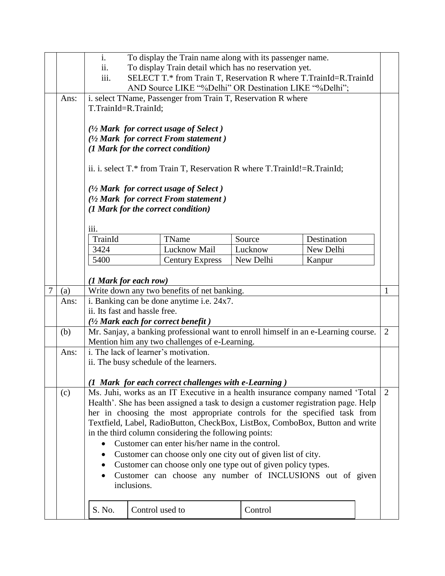|   |                                      | i.<br>To display the Train name along with its passenger name.<br>ii.<br>To display Train detail which has no reservation yet.<br>iii.<br>SELECT T.* from Train T, Reservation R where T.TrainId=R.TrainId<br>AND Source LIKE "%Delhi" OR Destination LIKE "%Delhi";                                                                                                                                                                                                                                                                                                                                                                                          |                        |  |                      |             |  |  |
|---|--------------------------------------|---------------------------------------------------------------------------------------------------------------------------------------------------------------------------------------------------------------------------------------------------------------------------------------------------------------------------------------------------------------------------------------------------------------------------------------------------------------------------------------------------------------------------------------------------------------------------------------------------------------------------------------------------------------|------------------------|--|----------------------|-------------|--|--|
|   | Ans:                                 | i. select TName, Passenger from Train T, Reservation R where<br>T.TrainId=R.TrainId;<br>$\frac{1}{2}$ Mark for correct usage of Select)<br>(1/2 Mark for correct From statement)<br>(1 Mark for the correct condition)<br>ii. i. select T.* from Train T, Reservation R where T.TrainId!=R.TrainId;<br>$\frac{1}{2}$ Mark for correct usage of Select)<br>$(1/2 \text{ Mark for correct From statement})$<br>(1 Mark for the correct condition)                                                                                                                                                                                                               |                        |  |                      |             |  |  |
|   |                                      | iii.                                                                                                                                                                                                                                                                                                                                                                                                                                                                                                                                                                                                                                                          |                        |  |                      |             |  |  |
|   |                                      | TrainId                                                                                                                                                                                                                                                                                                                                                                                                                                                                                                                                                                                                                                                       | TName                  |  | Source               | Destination |  |  |
|   |                                      | 3424<br>5400                                                                                                                                                                                                                                                                                                                                                                                                                                                                                                                                                                                                                                                  | Lucknow Mail           |  | Lucknow<br>New Delhi | New Delhi   |  |  |
|   |                                      | (1 Mark for each row)                                                                                                                                                                                                                                                                                                                                                                                                                                                                                                                                                                                                                                         | <b>Century Express</b> |  |                      | Kanpur      |  |  |
| 7 | (a)                                  | Write down any two benefits of net banking.<br>1                                                                                                                                                                                                                                                                                                                                                                                                                                                                                                                                                                                                              |                        |  |                      |             |  |  |
|   | Ans:                                 | i. Banking can be done anytime i.e. 24x7.<br>ii. Its fast and hassle free.<br>$(1/2)$ Mark each for correct benefit)                                                                                                                                                                                                                                                                                                                                                                                                                                                                                                                                          |                        |  |                      |             |  |  |
|   | (b)                                  | Mr. Sanjay, a banking professional want to enroll himself in an e-Learning course.<br>2<br>Mention him any two challenges of e-Learning.                                                                                                                                                                                                                                                                                                                                                                                                                                                                                                                      |                        |  |                      |             |  |  |
|   | Ans:                                 | i. The lack of learner's motivation.<br>ii. The busy schedule of the learners.<br>(1 Mark for each correct challenges with e-Learning)                                                                                                                                                                                                                                                                                                                                                                                                                                                                                                                        |                        |  |                      |             |  |  |
|   | (c)                                  | Ms. Juhi, works as an IT Executive in a health insurance company named 'Total<br>2<br>Health'. She has been assigned a task to design a customer registration page. Help<br>her in choosing the most appropriate controls for the specified task from<br>Textfield, Label, RadioButton, CheckBox, ListBox, ComboBox, Button and write<br>in the third column considering the following points:<br>Customer can enter his/her name in the control.<br>Customer can choose only one city out of given list of city.<br>Customer can choose only one type out of given policy types.<br>Customer can choose any number of INCLUSIONS out of given<br>inclusions. |                        |  |                      |             |  |  |
|   | S. No.<br>Control used to<br>Control |                                                                                                                                                                                                                                                                                                                                                                                                                                                                                                                                                                                                                                                               |                        |  |                      |             |  |  |